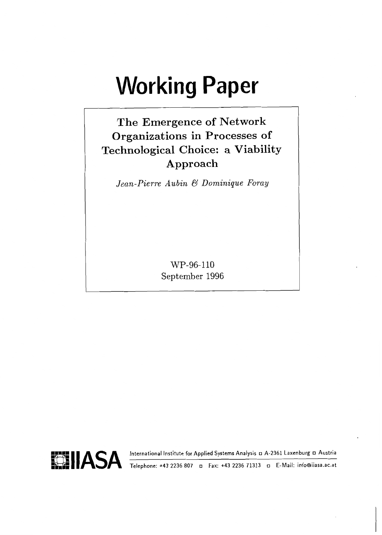# **Working Paper**

# **The Emergence of Network Organizations in Processes of Technological Choice: a Viability Approach**

*Jean-Pierre Aubin* & *Dominique Foray* 

WP-96-110 September 1996

**slllASA** International Institute for Applied Systems Analysis A-2361 Laxenburg Austria



**..M..** Telephone: +43 2236 807 Fax: +43 2236 71313 o E-Mail: info@iiasa.ac.at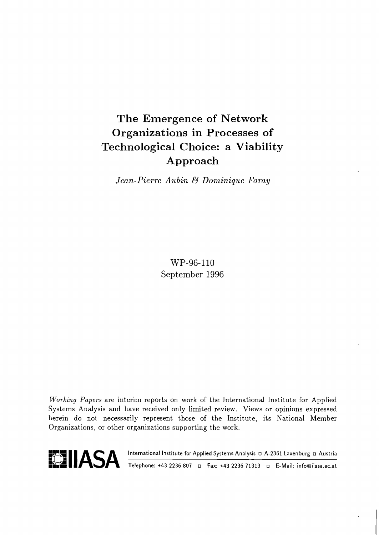# **The Emergence of Network Organizations in Processes of Technological Choice: a Viability Approach**

*Jean-Pierre Aubin* & *Dominique Foray* 

WP-96-110 September 1996

**Working** Papers are interim reports on work of the International Institute for Applied Systems Analysis and have received only limited review. Views or opinions expressed herein do not necessarily represent those of the Institute, its National Member Organizations, or other organizations supporting the work.



**VLLASA International Institute for Applied Systems Analysis D A-2361 Laxenburg D Austria** 

**kde Telephone: +43 2236 807 E** Fax: +43 2236 71313 E-Mail: info@iiasa.ac.at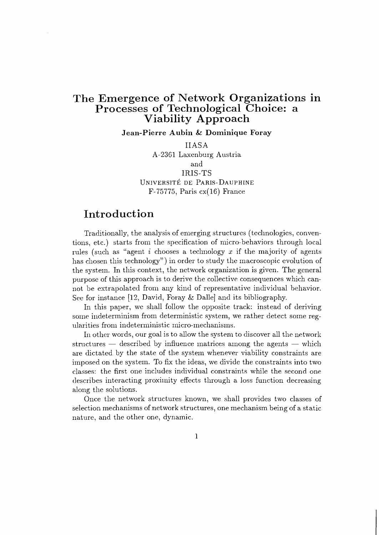## **The Emergence of Network Organizations in**  Processes of Technological Choice: a **Viability Approach**

**Jean-Pierre Aubin** & **Dominique Foray** 

IIASA A-2361 Laxenburg Austria and IRIS-TS UNIVERSITE DE PARIS-DAUPHINE F-75775, Paris cx(16) France

#### **Introduction**

Traditionally, the analysis of emerging structures (technologies, conventions, etc.) starts from the specification of micro-behaviors through local rules (such as "agent i chooses a technology  $x$  if the majority of agents has chosen this technology") in order to study the macroscopic evolution of the system. In this context, the network organization is given. The general purpose of this approach is to derive the collective consequences which cannot be extrapolated from any kind of representative individual behavior. See for instance [12, David, Foray & Dalle] and its bibliography.

In this paper, we shall follow the opposite track: instead of deriving some indeterminism from deterministic system, we rather detect some regularities from indeterministic micro-mechanisms.

In other words, our goal is to allow the system to discover all the network structures  $-$  described by influence matrices among the agents  $-$  which are dictated by the state of the system whenever viability constraints are iinposed on the system. To fix the ideas, we divide the constraints into two classes: the first one includes inclividual constraints while the second one describes interacting proximity effects through a loss function decreasing along the solutions.

Once the network structures known, we shall provides two classes of selection mechanisms of network structures, one mechanism being of a static nature, and the other one, dynamic.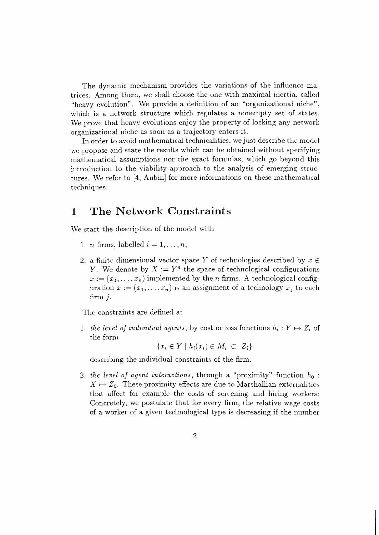The dynamic mechanism provides the variations of the influence matrices. Among them, we shall choose the one with maximal inertia, called "heavy evolution". We provide a definition of an "organizational niche", which is a network structure which regulates a nonempty set of states. We prove that heavy evolutions enjoy the property of locking any network orgailizational niche as soon as a trajectory enters it.

In order to avoid mathematical technicalities, we just describe the model we propose and state the results which can be obtained without specifying mathematical assumptions nor the exact formulas, which go beyond this introduction to the viability approach to the analysis of emerging structures. We refer to  $[4,$  Aubin $]$  for more informations on these mathematical techniques.

#### The Network Constraints  $\mathbf 1$

We start the description of the model with

- 1. *n* firms, labelled  $i = 1, \ldots, n$ ,
- 2. a finite dimensional vector space Y of technologies described by  $x \in$ Y. We denote by  $X := Y^n$  the space of technological configurations  $x := (x_1, \ldots, x_n)$  implemented by the *n* firms. A technological configuration  $x := (x_1, \ldots, x_n)$  is an assignment of a technology  $x_j$  to each firm  $i$ .

The constraints are defined at

1. the level of individual agents, by cost or loss functions  $h_i: Y \mapsto Z_i$  of the form

 ${x_i \in Y \mid h_i(x_i) \in M_i \subset Z_i}$ 

describing the individual constraints of the firm.

2. the level of agent interactions, through a "proximity" function  $h_0$ :  $X \mapsto Z_0$ . These proximity effects are due to Marshallian externalities that affect for example the costs of screening and hiring workers: Concretely, we postulate that for every firm, the relative wage costs of a worker of a given technological type is decreasing if the number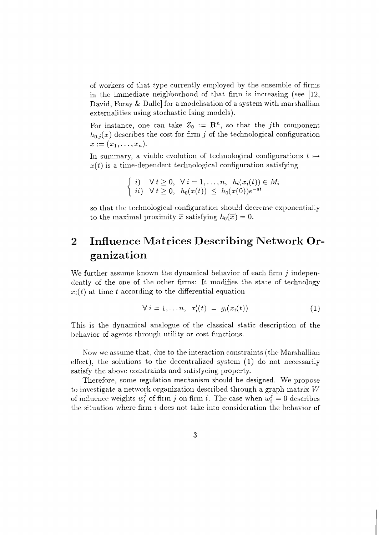of workers of that type currently employed by the ensemble of firms in the immediate neighborhood of that firm is increasing (see  $[12]$ , David, Foray & Dallel for a modelisation of a system with marshallian externalities using stochastic Ising models).

For instance, one can take  $Z_0 := \mathbb{R}^n$ , so that the *j*th component  $h_{0,i}(x)$  describes the cost for firm j of the technological configuration  $x := (x_1, \ldots, x_n).$ 

In summary, a viable evolution of technological configurations  $t \mapsto$  $x(t)$  is a time-dependent technological configuration satisfying

$$
\begin{cases}\ni; & \forall t \geq 0, \ \forall i = 1, \dots, n, \ h_i(x_i(t)) \in M_i \\
ii; & \forall t \geq 0, \ h_0(x(t)) \leq h_0(x(0))e^{-at}\n\end{cases}
$$

so that the technological configuration should decrease exponentially to the maximal proximity  $\bar{x}$  satisfying  $h_0(\bar{x}) = 0$ .

## **2 Influence Matrices Describing Network Organizat ion**

We further assume known the dynamical behavior of each firm j independently of the one of the other firms: It modifies the state of technology  $x_i(t)$  at time t according to the differential equation

$$
\forall i = 1, \ldots n, \quad x_i'(t) = g_i(x_i(t)) \tag{1}
$$

This is the dynamical analogue of the classical static description of the behavior of agents through utility or cost functions.

Now we assume that, due to the interaction constraints (the Marshallian effect), the solutions to the decentralized system  $(1)$  do not necessarily satisfy the above constraints and satisfycing property.

Therefore, some regulation mechanism should be designed. We propose to investigate a network organization described through a graph matrix  $W$ of influence weights  $w_i^j$  of firm j on firm i. The case when  $w_i^j = 0$  describes the situation where firm  $i$  does not take into consideration the behavior of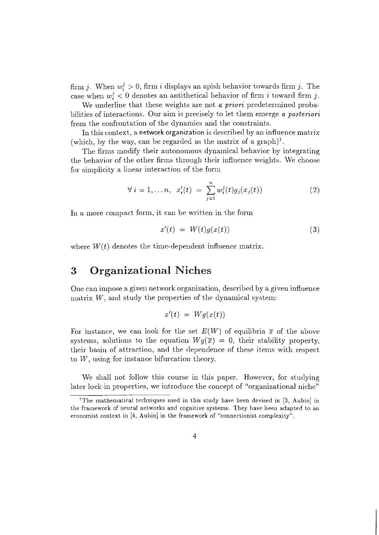firm *j*. When  $w_i^j > 0$ , firm *i* displays an apish behavior towards firm *j*. The case when  $w_i^j < 0$  denotes an antithetical behavior of firm i toward firm i.

We underline that these weights are not *a* priori predetermined probabilities of interactions. Our aim is precisely to let them emerge *a* posteriori from the confrontation of the dynamics and the constraints.

In this context, a network organization is described by an influence matrix (which, by the way, can be regarded as the matrix of a graph)<sup>1</sup>.

The firms modify their autonomous dynamical behavior by integrating the behavior of the other firms through their influence weights. We choose for simplicity a linear interaction of the form

$$
\forall i = 1,...n, x'_{i}(t) = \sum_{j=1}^{n} w_{i}^{j}(t)g_{j}(x_{j}(t))
$$
\n(2)

In a more compact form, it can be written in the form

$$
x'(t) = W(t)g(x(t)) \tag{3}
$$

where  $W(t)$  denotes the time-dependent influence matrix.

## **3** Organizational Niches

One can impose a given network organization, described by a given influence matrix  $W$ , and study the properties of the dynamical system:

$$
x'(t) = Wg(x(t))
$$

For instance, we can look for the set  $E(W)$  of equilibria  $\bar{x}$  of the above systems, solutions to the equation  $W_q(\overline{x}) = 0$ , their stability property, their basin of attraction, and the dependence of these items with respect to  $W$ , using for instance bifurcation theory.

We shall not follow this course in this paper. However, for studying later lock-in properties, we introduce the concept of "organizational niche"

<sup>&#</sup>x27;The mathematical techniques used in this study have been devised in **[3,** Aubin] in the framework of neural networks and cognitive systerns. They have been adapted to an economist context in [4, Aubin] in the framework of "connectionist complexity".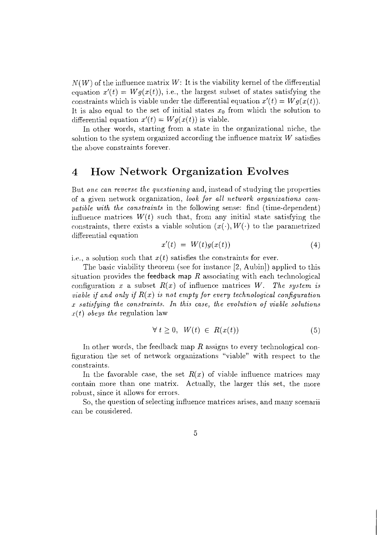$N(W)$  of the influence matrix W: It is the viability kernel of the differential equation  $x'(t) = Wg(x(t))$ , i.e., the largest subset of states satisfying the constraints which is viable under the differential equation  $x'(t) = Wq(x(t))$ . It is also equal to the set of initial states  $x_0$  from which the solution to differential equation  $x'(t) = Wg(x(t))$  is viable.

In other words, starting from a state in the organizational niche, the solution to the system organized according the influence matrix  $W$  satisfies the above constraints forever.

#### **4 How Network Organization Evolves**

But one can reverse the questioning and, instead of studying the properties of a given network organization, look for all network organizations compatible with the constraints in the following sense: find (time-dependent) influence matrices  $W(t)$  such that, from any initial state satisfying the constraints, there exists a viable solution  $(x(\cdot), W(\cdot))$  to the parametrized differential equation

$$
x'(t) = W(t)g(x(t)) \tag{4}
$$

i.e., a solution such that  $x(t)$  satisfies the constraints for ever.

The basic viability theorem (see for instance  $[2,$  Aubin]) applied to this situation provides the feedback map R associating with each technological configuration x a subset  $R(x)$  of influence matrices W. The system is viable if and only if  $R(x)$  is not empty for every technological configuration  $x$  satisfying the constraints. In this case, the evolution of viable solutions *.r(t)* obeys the regulation law

$$
\forall t \geq 0, \ W(t) \in R(x(t)) \tag{5}
$$

In other words, the feedback map R assigns to every technological configuration the set of network organizations "viable" with respect to the constraints.

In the favorable case, the set  $R(x)$  of viable influence matrices may contain more than one matrix. Actually, the larger this set, the more robust, since it allows for errors.

So, the question of selecting influence matrices arises, and many scenarii can be considered.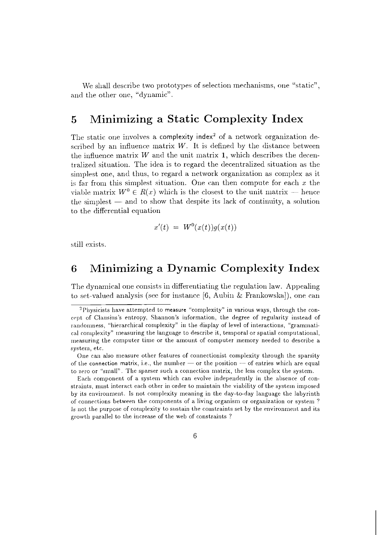We shall describe two prototypes of selection mechanisms, one "static", and the other one, "dynamic".

#### Minimizing a Static Complexity Index 5

The static one involves a complexity index<sup>2</sup> of a network organization described by an influence matrix  $W$ . It is defined by the distance between the influence matrix  $W$  and the unit matrix 1, which describes the decentralized situation. The idea is to regard the decentralized situation as the simplest one, and thus, to regard a network organization as complex as it is far from this simplest situation. One can then compute for each  $x$  the viable matrix  $W^0 \in R(x)$  which is the closest to the unit matrix – hence the simplest  $-$  and to show that despite its lack of continuity, a solution to the differential equation

$$
x'(t) = W^0(x(t))g(x(t))
$$

still exists.

#### Minimizing a Dynamic Complexity Index 6

The dynamical one consists in differentiating the regulation law. Appealing to set-valued analysis (see for instance [6, Aubin & Frankowska]), one can

Each component of a system which can evolve independently in the absence of constraints, must interact each other in order to maintain the viability of the system imposed by its environment. Is not complexity meaning in the day-to-day language the labyrinth of connections between the components of a living organism or organization or system? Is not the purpose of complexity to sustain the constraints set by the environment and its growth parallel to the increase of the web of constraints?

<sup>&</sup>lt;sup>2</sup>Physicists have attempted to measure "complexity" in various ways, through the concept of Clausius's entropy, Shannon's information, the degree of regularity instead of randomness, "hierarchical complexity" in the display of level of interactions, "grammatical complexity" measuring the language to describe it, temporal or spatial computational, measuring the computer time or the amount of computer memory needed to describe a system, etc.

One can also measure other features of connectionist complexity through the sparsity of the connection matrix, i.e., the number — or the position — of entries which are equal to zero or "small". The sparser such a connection matrix, the less complex the system.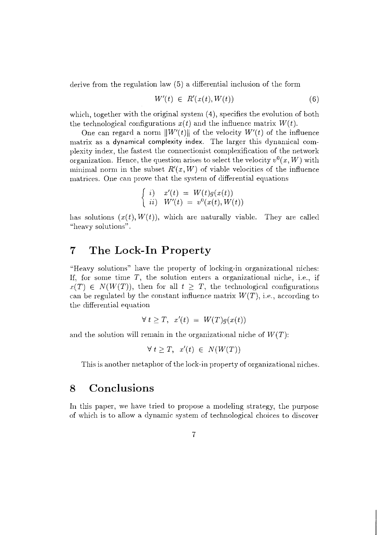derive from the regulation law  $(5)$  a differential inclusion of the form

$$
W'(t) \in R'(x(t), W(t)) \tag{6}
$$

which, together with the original system  $(4)$ , specifies the evolution of both the technological configurations  $x(t)$  and the influence matrix  $W(t)$ .

One can regard a norm  $||W'(t)||$  of the velocity  $W'(t)$  of the influence matrix as a dynamical complexity index. The larger this dynamical complexity index, the fastest the connectionist complexification of the network organization. Hence, the question arises to select the velocity  $v^0(x, W)$  with minimal norm in the subset  $R'(x, W)$  of viable velocities of the influence matrices. One can prove that the system of differential equations

$$
\begin{cases}\ni, & x'(t) = W(t)g(x(t)) \\
ii, & W'(t) = v^0(x(t), W(t))\n\end{cases}
$$

has solutions  $(x(t), W(t))$ , which are naturally viable. They are called "heavy solutions".

## **7 The Lock-In Property**

"Heavy solutions" have the property of locking-in organizational niches: If, for some time  $T$ , the solution enters a organizational niche, i.e., if  $x(T) \in N(W(T))$ , then for all  $t \geq T$ , the technological configurations can be regulated by the constant influence matrix  $W(T)$ , i.e., according to the differential equation

$$
\forall t \geq T, \ \ x'(t) \ = \ W(T)g(x(t))
$$

and the solution will remain in the organizational niche of  $W(T)$ :

$$
\forall t \geq T, \quad x'(t) \in N(W(T))
$$

This is another metaphor of the lock-in property of organizational niches.

## **8 Conclusions**

In this paper, we have tried to propose a modeling strategy, the purpose of which is to allow a dynamic system of technological choices to discover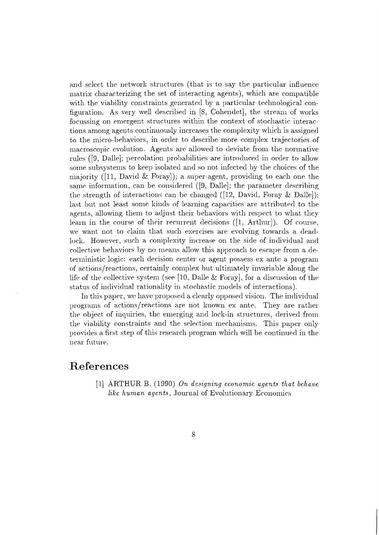and select the network structures (that is to say the particular influence matrix characterizing the set of interacting agents), which are compatible with the viability constraints generated by a particular technological configuration. As very well described in [8, Cohendet], the stream of works focussing on emergent structures within the context of stochastic interactions among agents continuously increases the complexity which is assigned to the micro-behaviors, in order to describe more complex trajectories of macroscopic evolution. Agents are allowed to deviate from the normative rules ([9, Dalle]; percolation probabilities are introduced in order to allow some subsystems to keep isolated and so not infected by the choices of the majority ([11, David & Foray]); a super-agent, providing to each one the same information, can be considered  $([9, \text{ Dalle}];$  the parameter describing the strength of interactions can be changed ([12, David, Foray & Dalle]); last but not least some kinds of learning capacities are attributed to the agents, allowing them to adjust their behaviors with respect to what they learn in the course of their recurrent decisions ([1, Arthur]). Of course, we want not to claim that such exercises are evolving towards a deadlock. However, such a complexity increase on the side of individual and collective behaviors by no means allow this approach to escape from a deterministic logic: each decision center or agent possess ex ante a program of actions/reactions, certainly complex but ultimately invariable along the life of the collective system (see [10, Dalle & Foray], for a discussion of the status of individual rationality in stochastic models of interactions).

In this paper, we have proposed a clearly opposed vision. The individual programs of actions/reactions are not known ex ante. They are rather the object of inquiries, the emerging and lock-in structures, derived from the viability constraints and the selection mechanisms. This paper only provides a first step of this research program which will be continued in the near future.

#### References

[1] ARTHUR B. (1990) On designing economic agents that behave like human agents, Journal of Evolutionary Economics